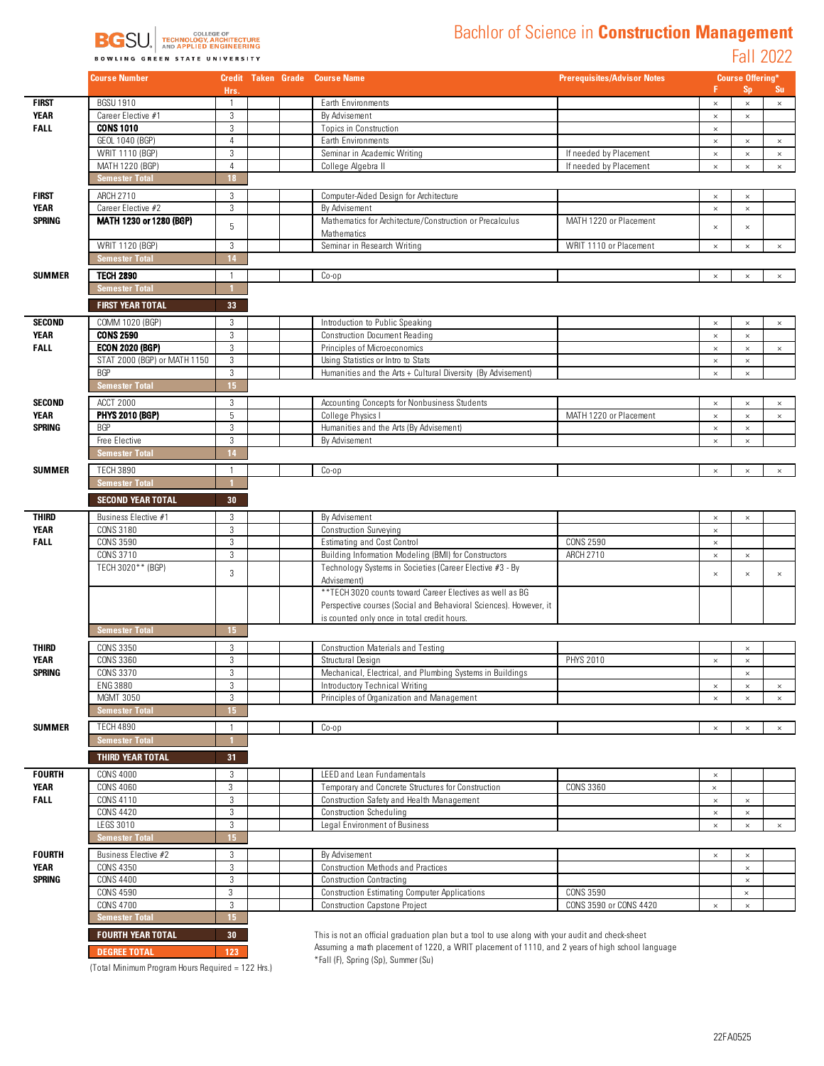

## Bachlor of Science in **Construction Management**

Fall 2022

|                              | <b>Course Number</b>                 |                 |  | <b>Credit Taken Grade Course Name</b>                                                                            | <b>Prerequisites/Advisor Notes</b> | <b>Course Offering*</b> |                      |          |
|------------------------------|--------------------------------------|-----------------|--|------------------------------------------------------------------------------------------------------------------|------------------------------------|-------------------------|----------------------|----------|
| <b>FIRST</b>                 | <b>BGSU 1910</b>                     | Hrs.<br>1       |  |                                                                                                                  |                                    |                         | <b>Sp</b>            | Su       |
| <b>YEAR</b>                  | Career Elective #1                   | $\mathbf{3}$    |  | Earth Environments<br>By Advisement                                                                              |                                    | $\times$<br>$\times$    | $\times$             | $\times$ |
| <b>FALL</b>                  | <b>CONS 1010</b>                     | 3               |  | <b>Topics in Construction</b>                                                                                    |                                    | $\times$                | $\times$             |          |
|                              | GEOL 1040 (BGP)                      | $\overline{4}$  |  | Earth Environments                                                                                               |                                    | $\times$                | $\times$             | $\times$ |
|                              | WRIT 1110 (BGP)                      | 3               |  | Seminar in Academic Writing                                                                                      | If needed by Placement             | $\times$                | $\times$             | $\times$ |
|                              | MATH 1220 (BGP)                      | $\overline{4}$  |  | College Algebra II                                                                                               | If needed by Placement             | $\times$                | $\times$             | $\times$ |
|                              | <b>Semester Total</b>                | 18              |  |                                                                                                                  |                                    |                         |                      |          |
| FIRST                        | ARCH 2710                            | 3               |  | Computer-Aided Design for Architecture                                                                           |                                    | $\times$                | $\times$             |          |
| <b>YEAR</b>                  | Career Elective #2                   | 3               |  | By Advisement                                                                                                    |                                    | $\times$                | $\times$             |          |
| <b>SPRING</b>                | MATH 1230 or 1280 (BGP)              |                 |  | Mathematics for Architecture/Construction or Precalculus                                                         | MATH 1220 or Placement             |                         |                      |          |
|                              |                                      | 5               |  | Mathematics                                                                                                      |                                    | $\times$                | $\times$             |          |
|                              | WRIT 1120 (BGP)                      | 3               |  | Seminar in Research Writing                                                                                      | WRIT 1110 or Placement             | $\times$                | $\times$             | $\times$ |
|                              | <b>Semester Total</b>                | 14              |  |                                                                                                                  |                                    |                         |                      |          |
| <b>SUMMER</b>                | <b>TECH 2890</b>                     | $\mathbf{1}$    |  | $Co$ -op                                                                                                         |                                    | $\times$                | $\times$             | $\times$ |
|                              | Semester Total                       |                 |  |                                                                                                                  |                                    |                         |                      |          |
|                              | <b>FIRST YEAR TOTAL</b>              | 33              |  |                                                                                                                  |                                    |                         |                      |          |
| <b>SECOND</b>                | COMM 1020 (BGP)                      | 3               |  | Introduction to Public Speaking                                                                                  |                                    |                         |                      |          |
| <b>YEAR</b>                  | <b>CONS 2590</b>                     | $\mathbf{3}$    |  | <b>Construction Document Reading</b>                                                                             |                                    | $\times$<br>$\times$    | $\times$<br>$\times$ | $\times$ |
| <b>FALL</b>                  | <b>ECON 2020 (BGP)</b>               | 3               |  | Principles of Microeconomics                                                                                     |                                    | $\times$                | $\times$             | $\times$ |
|                              | STAT 2000 (BGP) or MATH 1150         | 3               |  | Using Statistics or Intro to Stats                                                                               |                                    | $\times$                | $\times$             |          |
|                              | <b>BGP</b>                           | 3               |  | Humanities and the Arts + Cultural Diversity (By Advisement)                                                     |                                    | $\times$                | $\times$             |          |
|                              | <b>Semester Total</b>                | 15 <sub>1</sub> |  |                                                                                                                  |                                    |                         |                      |          |
| <b>SECOND</b>                | <b>ACCT 2000</b>                     | 3               |  | Accounting Concepts for Nonbusiness Students                                                                     |                                    | $\times$                | $\times$             | $\times$ |
| <b>YEAR</b>                  | <b>PHYS 2010 (BGP)</b>               | 5               |  | College Physics I                                                                                                | MATH 1220 or Placement             | $\times$                | $\times$             | $\times$ |
| <b>SPRING</b>                | <b>BGP</b>                           | 3               |  | Humanities and the Arts (By Advisement)                                                                          |                                    | $\times$                | $\times$             |          |
|                              | Free Elective                        | 3               |  | By Advisement                                                                                                    |                                    | $\times$                | $\times$             |          |
|                              | <b>Semester Total</b>                | 14              |  |                                                                                                                  |                                    |                         |                      |          |
| <b>SUMMER</b>                | <b>TECH 3890</b>                     | $\mathbf{1}$    |  | $Co$ -op                                                                                                         |                                    | $\times$                | $\times$             | $\times$ |
|                              | <b>Semester Total</b>                |                 |  |                                                                                                                  |                                    |                         |                      |          |
|                              | <b>SECOND YEAR TOTAL</b>             | 30 <sub>2</sub> |  |                                                                                                                  |                                    |                         |                      |          |
| <b>THIRD</b>                 | Business Elective #1                 | 3               |  | By Advisement                                                                                                    |                                    | $\times$                | $\times$             |          |
| <b>YEAR</b>                  | <b>CONS 3180</b>                     | 3               |  | <b>Construction Surveying</b>                                                                                    |                                    | $\times$                |                      |          |
| <b>FALL</b>                  | <b>CONS 3590</b>                     | 3               |  | <b>Estimating and Cost Control</b>                                                                               | <b>CONS 2590</b>                   | $\times$                |                      |          |
|                              | CONS 3710                            | 3               |  | Building Information Modeling (BMI) for Constructors                                                             | ARCH 2710                          | $\times$                | $\times$             |          |
|                              | TECH 3020** (BGP)                    | 3               |  | Technology Systems in Societies (Career Elective #3 - By                                                         |                                    | $\times$                | $\times$             | $\times$ |
|                              |                                      |                 |  | Advisement)                                                                                                      |                                    |                         |                      |          |
|                              |                                      |                 |  | ** TECH 3020 counts toward Career Electives as well as BG                                                        |                                    |                         |                      |          |
|                              |                                      |                 |  | Perspective courses (Social and Behavioral Sciences). However, it<br>is counted only once in total credit hours. |                                    |                         |                      |          |
|                              | <b>Semester Total</b>                | 15 <sub>1</sub> |  |                                                                                                                  |                                    |                         |                      |          |
|                              |                                      |                 |  |                                                                                                                  |                                    |                         |                      |          |
| THIRD<br><b>YEAR</b>         | <b>CONS 3350</b><br><b>CONS 3360</b> | 3<br>3          |  | <b>Construction Materials and Testing</b><br>Structural Design                                                   | <b>PHYS 2010</b>                   | $\times$                | $\times$<br>$\times$ |          |
| <b>SPRING</b>                | CONS 3370                            | 3               |  | Mechanical, Electrical, and Plumbing Systems in Buildings                                                        |                                    |                         | $\times$             |          |
|                              | ENG 3880                             | 3               |  | Introductory Technical Writing                                                                                   |                                    | $\times$                | $\times$             | $\times$ |
|                              | <b>MGMT 3050</b>                     | 3               |  | Principles of Organization and Management                                                                        |                                    | $\times$                | $\times$             | $\times$ |
|                              | <b>Semester Total</b>                | 15 <sub>1</sub> |  |                                                                                                                  |                                    |                         |                      |          |
| <b>SUMMER</b>                | <b>TECH 4890</b>                     | 1               |  | $Co$ -op                                                                                                         |                                    | $\times$                | $\times$             | $\times$ |
|                              | <b>Semester Total</b>                |                 |  |                                                                                                                  |                                    |                         |                      |          |
|                              | <b>THIRD YEAR TOTAL</b>              | 31              |  |                                                                                                                  |                                    |                         |                      |          |
|                              |                                      |                 |  |                                                                                                                  |                                    |                         |                      |          |
| <b>FOURTH</b><br><b>YEAR</b> | <b>CONS 4000</b><br><b>CONS 4060</b> | 3<br>3          |  | <b>LEED</b> and Lean Fundamentals<br>Temporary and Concrete Structures for Construction                          | <b>CONS 3360</b>                   | $\times$<br>$\times$    |                      |          |
| <b>FALL</b>                  | CONS 4110                            | 3               |  | Construction Safety and Health Management                                                                        |                                    | $\times$                | $\times$             |          |
|                              | <b>CONS 4420</b>                     | 3               |  | <b>Construction Scheduling</b>                                                                                   |                                    | $\times$                | $\times$             |          |
|                              | LEGS 3010                            | 3               |  | Legal Environment of Business                                                                                    |                                    | $\times$                | $\times$             | $\times$ |
|                              | <b>Semester Total</b>                | 15 <sub>1</sub> |  |                                                                                                                  |                                    |                         |                      |          |
| <b>FOURTH</b>                | Business Elective #2                 | 3               |  | By Advisement                                                                                                    |                                    | $\times$                | $\times$             |          |
| YEAR                         | CONS 4350                            | 3               |  | <b>Construction Methods and Practices</b>                                                                        |                                    |                         | $\times$             |          |
| <b>SPRING</b>                | <b>CONS 4400</b>                     | 3               |  | <b>Construction Contracting</b>                                                                                  |                                    |                         | $\times$             |          |
|                              | <b>CONS 4590</b>                     | 3               |  | <b>Construction Estimating Computer Applications</b>                                                             | <b>CONS 3590</b>                   |                         | $\times$             |          |
|                              | <b>CONS 4700</b>                     | 3               |  | <b>Construction Capstone Project</b>                                                                             | CONS 3590 or CONS 4420             | $\times$                | $\times$             |          |
|                              | <b>Semester Total</b>                | 15 <sub>1</sub> |  |                                                                                                                  |                                    |                         |                      |          |
|                              | <b>FOURTH YEAR TOTAL</b>             | 30 <sub>1</sub> |  | This is not an official graduation plan but a tool to use along with your audit and check-sheet                  |                                    |                         |                      |          |
|                              | <b>DEGREE TOTAL</b>                  | 123             |  | Assuming a math placement of 1220, a WRIT placement of 1110, and 2 years of high school language                 |                                    |                         |                      |          |
|                              |                                      |                 |  | *Foll (E) Carina (Cn) Cummor (Cu)                                                                                |                                    |                         |                      |          |

(Total Minimum Program Hours Required = 122 Hrs.)

\*Fall (F), Spring (Sp), Summer (Su)